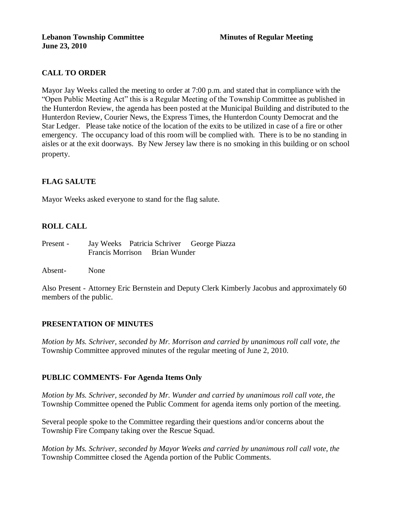# **CALL TO ORDER**

Mayor Jay Weeks called the meeting to order at 7:00 p.m. and stated that in compliance with the "Open Public Meeting Act" this is a Regular Meeting of the Township Committee as published in the Hunterdon Review, the agenda has been posted at the Municipal Building and distributed to the Hunterdon Review, Courier News, the Express Times, the Hunterdon County Democrat and the Star Ledger. Please take notice of the location of the exits to be utilized in case of a fire or other emergency. The occupancy load of this room will be complied with. There is to be no standing in aisles or at the exit doorways. By New Jersey law there is no smoking in this building or on school property.

# **FLAG SALUTE**

Mayor Weeks asked everyone to stand for the flag salute.

### **ROLL CALL**

Present - Jay Weeks Patricia Schriver George Piazza Francis Morrison Brian Wunder

Absent- None

Also Present - Attorney Eric Bernstein and Deputy Clerk Kimberly Jacobus and approximately 60 members of the public.

### **PRESENTATION OF MINUTES**

*Motion by Ms. Schriver, seconded by Mr. Morrison and carried by unanimous roll call vote, the* Township Committee approved minutes of the regular meeting of June 2, 2010.

### **PUBLIC COMMENTS- For Agenda Items Only**

*Motion by Ms. Schriver, seconded by Mr. Wunder and carried by unanimous roll call vote, the* Township Committee opened the Public Comment for agenda items only portion of the meeting.

Several people spoke to the Committee regarding their questions and/or concerns about the Township Fire Company taking over the Rescue Squad.

*Motion by Ms. Schriver, seconded by Mayor Weeks and carried by unanimous roll call vote, the* Township Committee closed the Agenda portion of the Public Comments.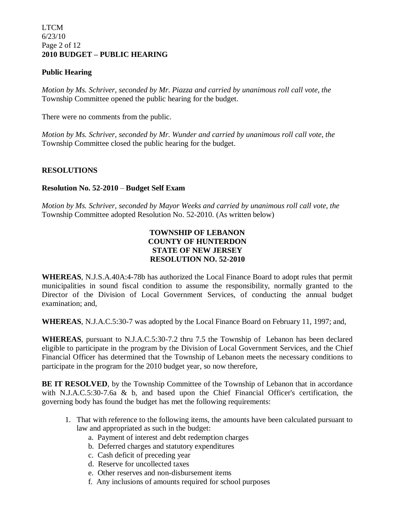### LTCM 6/23/10 Page 2 of 12 **2010 BUDGET – PUBLIC HEARING**

### **Public Hearing**

*Motion by Ms. Schriver, seconded by Mr. Piazza and carried by unanimous roll call vote, the* Township Committee opened the public hearing for the budget.

There were no comments from the public.

*Motion by Ms. Schriver, seconded by Mr. Wunder and carried by unanimous roll call vote, the* Township Committee closed the public hearing for the budget.

### **RESOLUTIONS**

### **Resolution No. 52-2010** – **Budget Self Exam**

*Motion by Ms. Schriver, seconded by Mayor Weeks and carried by unanimous roll call vote, the* Township Committee adopted Resolution No. 52-2010. (As written below)

### **TOWNSHIP OF LEBANON COUNTY OF HUNTERDON STATE OF NEW JERSEY RESOLUTION NO. 52-2010**

**WHEREAS**, N.J.S.A.40A:4-78b has authorized the Local Finance Board to adopt rules that permit municipalities in sound fiscal condition to assume the responsibility, normally granted to the Director of the Division of Local Government Services, of conducting the annual budget examination; and,

**WHEREAS**, N.J.A.C.5:30-7 was adopted by the Local Finance Board on February 11, 1997; and,

**WHEREAS**, pursuant to N.J.A.C.5:30-7.2 thru 7.5 the Township of Lebanon has been declared eligible to participate in the program by the Division of Local Government Services, and the Chief Financial Officer has determined that the Township of Lebanon meets the necessary conditions to participate in the program for the 2010 budget year, so now therefore,

**BE IT RESOLVED**, by the Township Committee of the Township of Lebanon that in accordance with N.J.A.C.5:30-7.6a & b, and based upon the Chief Financial Officer's certification, the governing body has found the budget has met the following requirements:

- 1. That with reference to the following items, the amounts have been calculated pursuant to law and appropriated as such in the budget:
	- a. Payment of interest and debt redemption charges
	- b. Deferred charges and statutory expenditures
	- c. Cash deficit of preceding year
	- d. Reserve for uncollected taxes
	- e. Other reserves and non-disbursement items
	- f. Any inclusions of amounts required for school purposes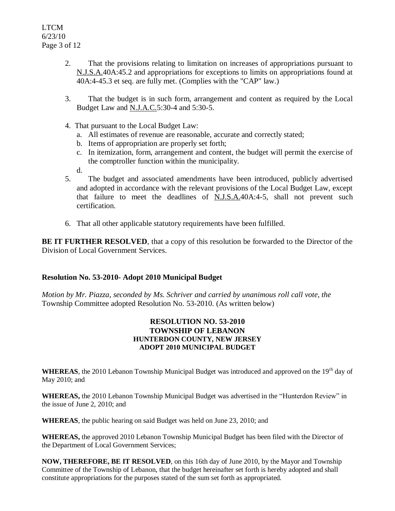- 2. That the provisions relating to limitation on increases of appropriations pursuant to N.J.S.A.40A:45.2 and appropriations for exceptions to limits on appropriations found at 40A:4-45.3 et seq. are fully met. (Complies with the "CAP" law.)
- 3. That the budget is in such form, arrangement and content as required by the Local Budget Law and N.J.A.C.5:30-4 and 5:30-5.
- 4. That pursuant to the Local Budget Law:
	- a. All estimates of revenue are reasonable, accurate and correctly stated;
	- b. Items of appropriation are properly set forth;
	- c. In itemization, form, arrangement and content, the budget will permit the exercise of the comptroller function within the municipality.
	- d.
- 5. The budget and associated amendments have been introduced, publicly advertised and adopted in accordance with the relevant provisions of the Local Budget Law, except that failure to meet the deadlines of N.J.S.A.40A:4-5, shall not prevent such certification.
- 6. That all other applicable statutory requirements have been fulfilled.

**BE IT FURTHER RESOLVED**, that a copy of this resolution be forwarded to the Director of the Division of Local Government Services.

### **Resolution No. 53-2010- Adopt 2010 Municipal Budget**

*Motion by Mr. Piazza, seconded by Ms. Schriver and carried by unanimous roll call vote, the* Township Committee adopted Resolution No. 53-2010. (As written below)

### **RESOLUTION NO. 53-2010 TOWNSHIP OF LEBANON HUNTERDON COUNTY, NEW JERSEY ADOPT 2010 MUNICIPAL BUDGET**

WHEREAS, the 2010 Lebanon Township Municipal Budget was introduced and approved on the 19<sup>th</sup> day of May 2010; and

**WHEREAS,** the 2010 Lebanon Township Municipal Budget was advertised in the "Hunterdon Review" in the issue of June 2, 2010; and

**WHEREAS**, the public hearing on said Budget was held on June 23, 2010; and

**WHEREAS,** the approved 2010 Lebanon Township Municipal Budget has been filed with the Director of the Department of Local Government Services;

**NOW, THEREFORE, BE IT RESOLVED**, on this 16th day of June 2010, by the Mayor and Township Committee of the Township of Lebanon, that the budget hereinafter set forth is hereby adopted and shall constitute appropriations for the purposes stated of the sum set forth as appropriated.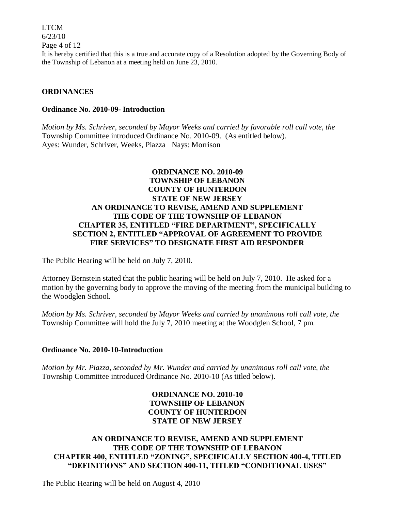LTCM 6/23/10 Page 4 of 12 It is hereby certified that this is a true and accurate copy of a Resolution adopted by the Governing Body of the Township of Lebanon at a meeting held on June 23, 2010.

### **ORDINANCES**

#### **Ordinance No. 2010-09- Introduction**

*Motion by Ms. Schriver, seconded by Mayor Weeks and carried by favorable roll call vote, the* Township Committee introduced Ordinance No. 2010-09. (As entitled below). Ayes: Wunder, Schriver, Weeks, Piazza Nays: Morrison

### **ORDINANCE NO. 2010-09 TOWNSHIP OF LEBANON COUNTY OF HUNTERDON STATE OF NEW JERSEY AN ORDINANCE TO REVISE, AMEND AND SUPPLEMENT THE CODE OF THE TOWNSHIP OF LEBANON CHAPTER 35, ENTITLED "FIRE DEPARTMENT", SPECIFICALLY SECTION 2, ENTITLED "APPROVAL OF AGREEMENT TO PROVIDE FIRE SERVICES" TO DESIGNATE FIRST AID RESPONDER**

The Public Hearing will be held on July 7, 2010.

Attorney Bernstein stated that the public hearing will be held on July 7, 2010. He asked for a motion by the governing body to approve the moving of the meeting from the municipal building to the Woodglen School.

*Motion by Ms. Schriver, seconded by Mayor Weeks and carried by unanimous roll call vote, the* Township Committee will hold the July 7, 2010 meeting at the Woodglen School, 7 pm.

### **Ordinance No. 2010-10-Introduction**

*Motion by Mr. Piazza, seconded by Mr. Wunder and carried by unanimous roll call vote, the* Township Committee introduced Ordinance No. 2010-10 (As titled below).

### **ORDINANCE NO. 2010-10 TOWNSHIP OF LEBANON COUNTY OF HUNTERDON STATE OF NEW JERSEY**

# **AN ORDINANCE TO REVISE, AMEND AND SUPPLEMENT THE CODE OF THE TOWNSHIP OF LEBANON CHAPTER 400, ENTITLED "ZONING", SPECIFICALLY SECTION 400-4, TITLED "DEFINITIONS" AND SECTION 400-11, TITLED "CONDITIONAL USES"**

The Public Hearing will be held on August 4, 2010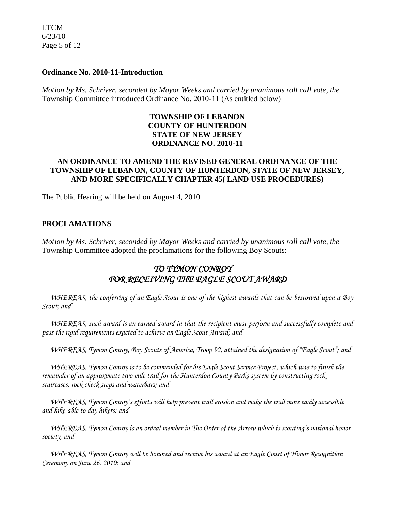LTCM 6/23/10 Page 5 of 12

### **Ordinance No. 2010-11-Introduction**

*Motion by Ms. Schriver, seconded by Mayor Weeks and carried by unanimous roll call vote, the* Township Committee introduced Ordinance No. 2010-11 (As entitled below)

# **TOWNSHIP OF LEBANON COUNTY OF HUNTERDON STATE OF NEW JERSEY ORDINANCE NO. 2010-11**

### **AN ORDINANCE TO AMEND THE REVISED GENERAL ORDINANCE OF THE TOWNSHIP OF LEBANON, COUNTY OF HUNTERDON, STATE OF NEW JERSEY, AND MORE SPECIFICALLY CHAPTER 45( LAND USE PROCEDURES)**

The Public Hearing will be held on August 4, 2010

### **PROCLAMATIONS**

*Motion by Ms. Schriver, seconded by Mayor Weeks and carried by unanimous roll call vote, the* Township Committee adopted the proclamations for the following Boy Scouts:

# *TO TYMON CONROY FOR RECEIVING THE EAGLE SCOUT AWARD*

 *WHEREAS, the conferring of an Eagle Scout is one of the highest awards that can be bestowed upon a Boy Scout; and*

 *WHEREAS, such award is an earned award in that the recipient must perform and successfully complete and pass the rigid requirements exacted to achieve an Eagle Scout Award; and*

 *WHEREAS, Tymon Conroy, Boy Scouts of America, Troop 92, attained the designation of "Eagle Scout"; and* 

 *WHEREAS, Tymon Conroy is to be commended for his Eagle Scout Service Project, which was to finish the remainder of an approximate two mile trail for the Hunterdon County Parks system by constructing rock staircases, rock check steps and waterbars; and* 

 *WHEREAS, Tymon Conroy's efforts will help prevent trail erosion and make the trail more easily accessible and hike-able to day hikers; and* 

 *WHEREAS, Tymon Conroy is an ordeal member in The Order of the Arrow which is scouting's national honor society, and* 

 *WHEREAS, Tymon Conroy will be honored and receive his award at an Eagle Court of Honor Recognition Ceremony on June 26, 2010; and*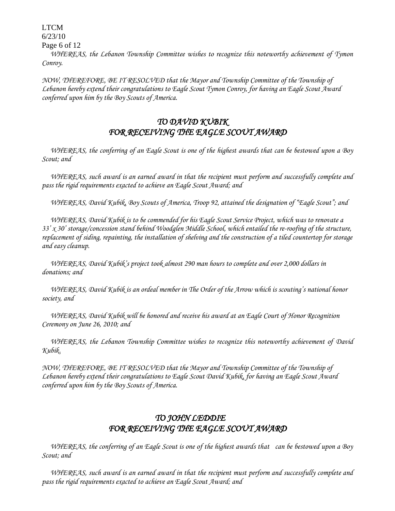LTCM

6/23/10

Page 6 of 12

 *WHEREAS, the Lebanon Township Committee wishes to recognize this noteworthy achievement of Tymon Conroy.*

*NOW, THEREFORE, BE IT RESOLVED that the Mayor and Township Committee of the Township of Lebanon hereby extend their congratulations to Eagle Scout Tymon Conroy, for having an Eagle Scout Award conferred upon him by the Boy Scouts of America.*

# *TO DAVID KUBIK FOR RECEIVING THE EAGLE SCOUT AWARD*

 *WHEREAS, the conferring of an Eagle Scout is one of the highest awards that can be bestowed upon a Boy Scout; and*

 *WHEREAS, such award is an earned award in that the recipient must perform and successfully complete and pass the rigid requirements exacted to achieve an Eagle Scout Award; and*

 *WHEREAS, David Kubik, Boy Scouts of America, Troop 92, attained the designation of "Eagle Scout"; and* 

 *WHEREAS, David Kubik is to be commended for his Eagle Scout Service Project, which was to renovate a 33' x 30' storage/concession stand behind Woodglen Middle School, which entailed the re-roofing of the structure, replacement of siding, repainting, the installation of shelving and the construction of a tiled countertop for storage and easy cleanup.*

 *WHEREAS, David Kubik's project took almost 290 man hours to complete and over 2,000 dollars in donations; and* 

 *WHEREAS, David Kubik is an ordeal member in The Order of the Arrow which is scouting's national honor society, and* 

 *WHEREAS, David Kubik will be honored and receive his award at an Eagle Court of Honor Recognition Ceremony on June 26, 2010; and*

 *WHEREAS, the Lebanon Township Committee wishes to recognize this noteworthy achievement of David Kubik.*

*NOW, THEREFORE, BE IT RESOLVED that the Mayor and Township Committee of the Township of Lebanon hereby extend their congratulations to Eagle Scout David Kubik, for having an Eagle Scout Award conferred upon him by the Boy Scouts of America.*

# *TO JOHN LEDDIE FOR RECEIVING THE EAGLE SCOUT AWARD*

 *WHEREAS, the conferring of an Eagle Scout is one of the highest awards that can be bestowed upon a Boy Scout; and*

 *WHEREAS, such award is an earned award in that the recipient must perform and successfully complete and pass the rigid requirements exacted to achieve an Eagle Scout Award; and*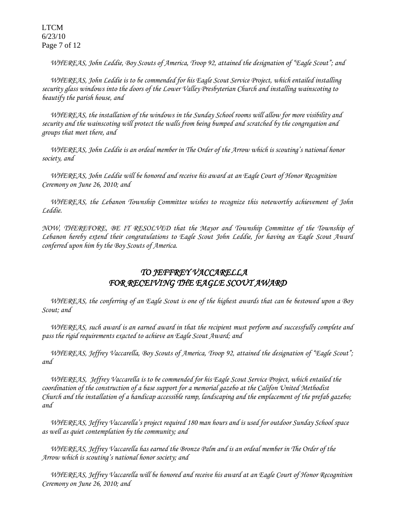LTCM 6/23/10 Page 7 of 12

 *WHEREAS, John Leddie, Boy Scouts of America, Troop 92, attained the designation of "Eagle Scout"; and* 

 *WHEREAS, John Leddie is to be commended for his Eagle Scout Service Project, which entailed installing security glass windows into the doors of the Lower Valley Presbyterian Church and installing wainscoting to beautify the parish house, and*

 *WHEREAS, the installation of the windows in the Sunday School rooms will allow for more visibility and security and the wainscoting will protect the walls from being bumped and scratched by the congregation and groups that meet there, and* 

 *WHEREAS, John Leddie is an ordeal member in The Order of the Arrow which is scouting's national honor society, and* 

 *WHEREAS, John Leddie will be honored and receive his award at an Eagle Court of Honor Recognition Ceremony on June 26, 2010; and*

 *WHEREAS, the Lebanon Township Committee wishes to recognize this noteworthy achievement of John Leddie.*

*NOW, THEREFORE, BE IT RESOLVED that the Mayor and Township Committee of the Township of Lebanon hereby extend their congratulations to Eagle Scout John Leddie, for having an Eagle Scout Award conferred upon him by the Boy Scouts of America.*

# *TO JEFFREY VACCARELLA FOR RECEIVING THE EAGLE SCOUT AWARD*

 *WHEREAS, the conferring of an Eagle Scout is one of the highest awards that can be bestowed upon a Boy Scout; and*

 *WHEREAS, such award is an earned award in that the recipient must perform and successfully complete and pass the rigid requirements exacted to achieve an Eagle Scout Award; and*

 *WHEREAS, Jeffrey Vaccarella, Boy Scouts of America, Troop 92, attained the designation of "Eagle Scout"; and* 

 *WHEREAS, Jeffrey Vaccarella is to be commended for his Eagle Scout Service Project, which entailed the coordination of the construction of a base support for a memorial gazebo at the Califon United Methodist Church and the installation of a handicap accessible ramp, landscaping and the emplacement of the prefab gazebo; and*

 *WHEREAS, Jeffrey Vaccarella's project required 180 man hours and is used for outdoor Sunday School space as well as quiet contemplation by the community; and* 

 *WHEREAS, Jeffrey Vaccarella has earned the Bronze Palm and is an ordeal member in The Order of the Arrow which is scouting's national honor society; and* 

 *WHEREAS, Jeffrey Vaccarella will be honored and receive his award at an Eagle Court of Honor Recognition Ceremony on June 26, 2010; and*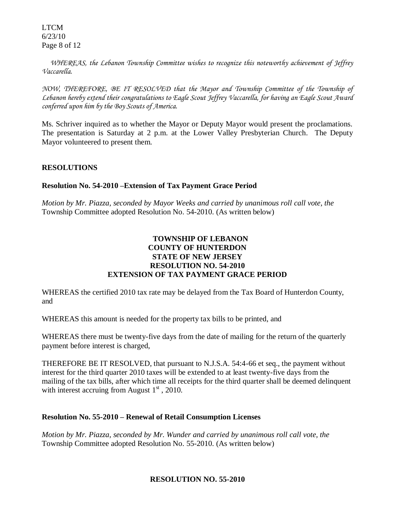LTCM 6/23/10 Page 8 of 12

 *WHEREAS, the Lebanon Township Committee wishes to recognize this noteworthy achievement of Jeffrey Vaccarella.*

*NOW, THEREFORE, BE IT RESOLVED that the Mayor and Township Committee of the Township of Lebanon hereby extend their congratulations to Eagle Scout Jeffrey Vaccarella, for having an Eagle Scout Award conferred upon him by the Boy Scouts of America.*

Ms. Schriver inquired as to whether the Mayor or Deputy Mayor would present the proclamations. The presentation is Saturday at 2 p.m. at the Lower Valley Presbyterian Church. The Deputy Mayor volunteered to present them.

### **RESOLUTIONS**

### **Resolution No. 54-2010 –Extension of Tax Payment Grace Period**

*Motion by Mr. Piazza, seconded by Mayor Weeks and carried by unanimous roll call vote, the* Township Committee adopted Resolution No. 54-2010. (As written below)

# **TOWNSHIP OF LEBANON COUNTY OF HUNTERDON STATE OF NEW JERSEY RESOLUTION NO. 54-2010 EXTENSION OF TAX PAYMENT GRACE PERIOD**

WHEREAS the certified 2010 tax rate may be delayed from the Tax Board of Hunterdon County, and

WHEREAS this amount is needed for the property tax bills to be printed, and

WHEREAS there must be twenty-five days from the date of mailing for the return of the quarterly payment before interest is charged,

THEREFORE BE IT RESOLVED, that pursuant to N.J.S.A. 54:4-66 et seq., the payment without interest for the third quarter 2010 taxes will be extended to at least twenty-five days from the mailing of the tax bills, after which time all receipts for the third quarter shall be deemed delinquent with interest accruing from August  $1<sup>st</sup>$ , 2010.

### **Resolution No. 55-2010 – Renewal of Retail Consumption Licenses**

*Motion by Mr. Piazza, seconded by Mr. Wunder and carried by unanimous roll call vote, the* Township Committee adopted Resolution No. 55-2010. (As written below)

### **RESOLUTION NO. 55-2010**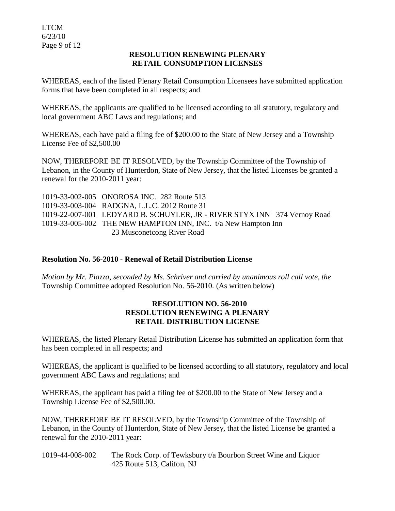### **RESOLUTION RENEWING PLENARY RETAIL CONSUMPTION LICENSES**

WHEREAS, each of the listed Plenary Retail Consumption Licensees have submitted application forms that have been completed in all respects; and

WHEREAS, the applicants are qualified to be licensed according to all statutory, regulatory and local government ABC Laws and regulations; and

WHEREAS, each have paid a filing fee of \$200.00 to the State of New Jersey and a Township License Fee of \$2,500.00

NOW, THEREFORE BE IT RESOLVED, by the Township Committee of the Township of Lebanon, in the County of Hunterdon, State of New Jersey, that the listed Licenses be granted a renewal for the 2010-2011 year:

1019-33-002-005 ONOROSA INC. 282 Route 513 1019-33-003-004 RADGNA, L.L.C. 2012 Route 31 1019-22-007-001 LEDYARD B. SCHUYLER, JR - RIVER STYX INN –374 Vernoy Road 1019-33-005-002 THE NEW HAMPTON INN, INC. t/a New Hampton Inn 23 Musconetcong River Road

# **Resolution No. 56-2010 - Renewal of Retail Distribution License**

*Motion by Mr. Piazza, seconded by Ms. Schriver and carried by unanimous roll call vote, the* Township Committee adopted Resolution No. 56-2010. (As written below)

### **RESOLUTION NO. 56-2010 RESOLUTION RENEWING A PLENARY RETAIL DISTRIBUTION LICENSE**

WHEREAS, the listed Plenary Retail Distribution License has submitted an application form that has been completed in all respects; and

WHEREAS, the applicant is qualified to be licensed according to all statutory, regulatory and local government ABC Laws and regulations; and

WHEREAS, the applicant has paid a filing fee of \$200.00 to the State of New Jersey and a Township License Fee of \$2,500.00.

NOW, THEREFORE BE IT RESOLVED, by the Township Committee of the Township of Lebanon, in the County of Hunterdon, State of New Jersey, that the listed License be granted a renewal for the 2010-2011 year:

1019-44-008-002 The Rock Corp. of Tewksbury t/a Bourbon Street Wine and Liquor 425 Route 513, Califon, NJ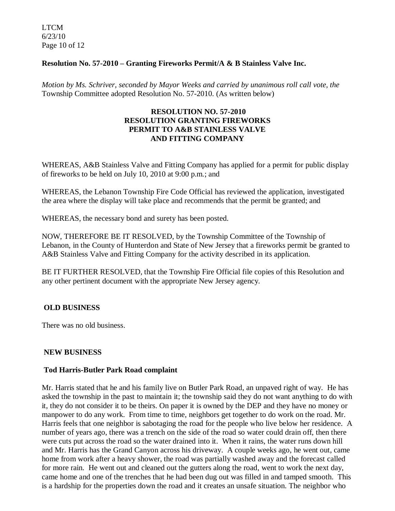LTCM 6/23/10 Page 10 of 12

### **Resolution No. 57-2010 – Granting Fireworks Permit/A & B Stainless Valve Inc.**

*Motion by Ms. Schriver, seconded by Mayor Weeks and carried by unanimous roll call vote, the* Township Committee adopted Resolution No. 57-2010. (As written below)

### **RESOLUTION NO. 57-2010 RESOLUTION GRANTING FIREWORKS PERMIT TO A&B STAINLESS VALVE AND FITTING COMPANY**

WHEREAS, A&B Stainless Valve and Fitting Company has applied for a permit for public display of fireworks to be held on July 10, 2010 at 9:00 p.m.; and

WHEREAS, the Lebanon Township Fire Code Official has reviewed the application, investigated the area where the display will take place and recommends that the permit be granted; and

WHEREAS, the necessary bond and surety has been posted.

NOW, THEREFORE BE IT RESOLVED, by the Township Committee of the Township of Lebanon, in the County of Hunterdon and State of New Jersey that a fireworks permit be granted to A&B Stainless Valve and Fitting Company for the activity described in its application.

BE IT FURTHER RESOLVED, that the Township Fire Official file copies of this Resolution and any other pertinent document with the appropriate New Jersey agency.

### **OLD BUSINESS**

There was no old business.

### **NEW BUSINESS**

### **Tod Harris-Butler Park Road complaint**

Mr. Harris stated that he and his family live on Butler Park Road, an unpaved right of way. He has asked the township in the past to maintain it; the township said they do not want anything to do with it, they do not consider it to be theirs. On paper it is owned by the DEP and they have no money or manpower to do any work. From time to time, neighbors get together to do work on the road. Mr. Harris feels that one neighbor is sabotaging the road for the people who live below her residence. A number of years ago, there was a trench on the side of the road so water could drain off, then there were cuts put across the road so the water drained into it. When it rains, the water runs down hill and Mr. Harris has the Grand Canyon across his driveway. A couple weeks ago, he went out, came home from work after a heavy shower, the road was partially washed away and the forecast called for more rain. He went out and cleaned out the gutters along the road, went to work the next day, came home and one of the trenches that he had been dug out was filled in and tamped smooth. This is a hardship for the properties down the road and it creates an unsafe situation. The neighbor who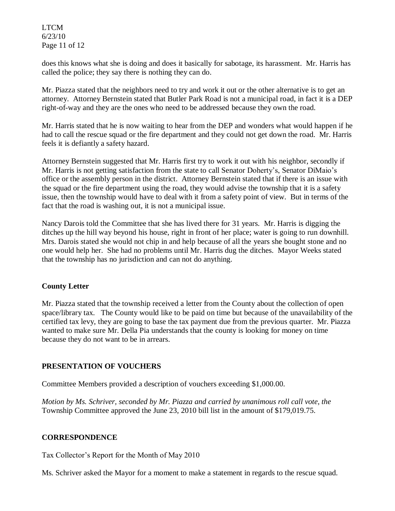LTCM 6/23/10 Page 11 of 12

does this knows what she is doing and does it basically for sabotage, its harassment. Mr. Harris has called the police; they say there is nothing they can do.

Mr. Piazza stated that the neighbors need to try and work it out or the other alternative is to get an attorney. Attorney Bernstein stated that Butler Park Road is not a municipal road, in fact it is a DEP right-of-way and they are the ones who need to be addressed because they own the road.

Mr. Harris stated that he is now waiting to hear from the DEP and wonders what would happen if he had to call the rescue squad or the fire department and they could not get down the road. Mr. Harris feels it is defiantly a safety hazard.

Attorney Bernstein suggested that Mr. Harris first try to work it out with his neighbor, secondly if Mr. Harris is not getting satisfaction from the state to call Senator Doherty's, Senator DiMaio's office or the assembly person in the district. Attorney Bernstein stated that if there is an issue with the squad or the fire department using the road, they would advise the township that it is a safety issue, then the township would have to deal with it from a safety point of view. But in terms of the fact that the road is washing out, it is not a municipal issue.

Nancy Darois told the Committee that she has lived there for 31 years. Mr. Harris is digging the ditches up the hill way beyond his house, right in front of her place; water is going to run downhill. Mrs. Darois stated she would not chip in and help because of all the years she bought stone and no one would help her. She had no problems until Mr. Harris dug the ditches. Mayor Weeks stated that the township has no jurisdiction and can not do anything.

# **County Letter**

Mr. Piazza stated that the township received a letter from the County about the collection of open space/library tax. The County would like to be paid on time but because of the unavailability of the certified tax levy, they are going to base the tax payment due from the previous quarter. Mr. Piazza wanted to make sure Mr. Della Pia understands that the county is looking for money on time because they do not want to be in arrears.

### **PRESENTATION OF VOUCHERS**

Committee Members provided a description of vouchers exceeding \$1,000.00.

*Motion by Ms. Schriver, seconded by Mr. Piazza and carried by unanimous roll call vote, the* Township Committee approved the June 23, 2010 bill list in the amount of \$179,019.75.

### **CORRESPONDENCE**

Tax Collector's Report for the Month of May 2010

Ms. Schriver asked the Mayor for a moment to make a statement in regards to the rescue squad.